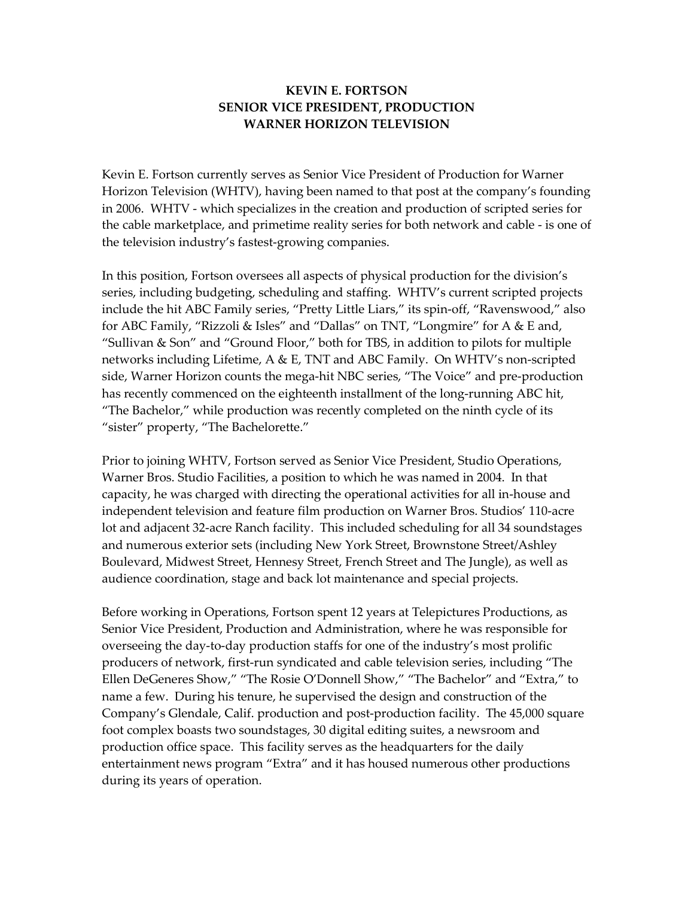## **KEVIN E. FORTSON SENIOR VICE PRESIDENT, PRODUCTION WARNER HORIZON TELEVISION**

Kevin E. Fortson currently serves as Senior Vice President of Production for Warner Horizon Television (WHTV), having been named to that post at the company's founding in 2006. WHTV - which specializes in the creation and production of scripted series for the cable marketplace, and primetime reality series for both network and cable - is one of the television industry's fastest-growing companies.

In this position, Fortson oversees all aspects of physical production for the division's series, including budgeting, scheduling and staffing. WHTV's current scripted projects include the hit ABC Family series, "Pretty Little Liars," its spin-off, "Ravenswood," also for ABC Family, "Rizzoli & Isles" and "Dallas" on TNT, "Longmire" for A & E and, "Sullivan & Son" and "Ground Floor," both for TBS, in addition to pilots for multiple networks including Lifetime, A & E, TNT and ABC Family. On WHTV's non-scripted side, Warner Horizon counts the mega-hit NBC series, "The Voice" and pre-production has recently commenced on the eighteenth installment of the long-running ABC hit, "The Bachelor," while production was recently completed on the ninth cycle of its "sister" property, "The Bachelorette."

Prior to joining WHTV, Fortson served as Senior Vice President, Studio Operations, Warner Bros. Studio Facilities, a position to which he was named in 2004. In that capacity, he was charged with directing the operational activities for all in-house and independent television and feature film production on Warner Bros. Studios' 110-acre lot and adjacent 32-acre Ranch facility. This included scheduling for all 34 soundstages and numerous exterior sets (including New York Street, Brownstone Street/Ashley Boulevard, Midwest Street, Hennesy Street, French Street and The Jungle), as well as audience coordination, stage and back lot maintenance and special projects.

Before working in Operations, Fortson spent 12 years at Telepictures Productions, as Senior Vice President, Production and Administration, where he was responsible for overseeing the day-to-day production staffs for one of the industry's most prolific producers of network, first-run syndicated and cable television series, including "The Ellen DeGeneres Show," "The Rosie O'Donnell Show," "The Bachelor" and "Extra," to name a few. During his tenure, he supervised the design and construction of the Company's Glendale, Calif. production and post-production facility. The 45,000 square foot complex boasts two soundstages, 30 digital editing suites, a newsroom and production office space. This facility serves as the headquarters for the daily entertainment news program "Extra" and it has housed numerous other productions during its years of operation.